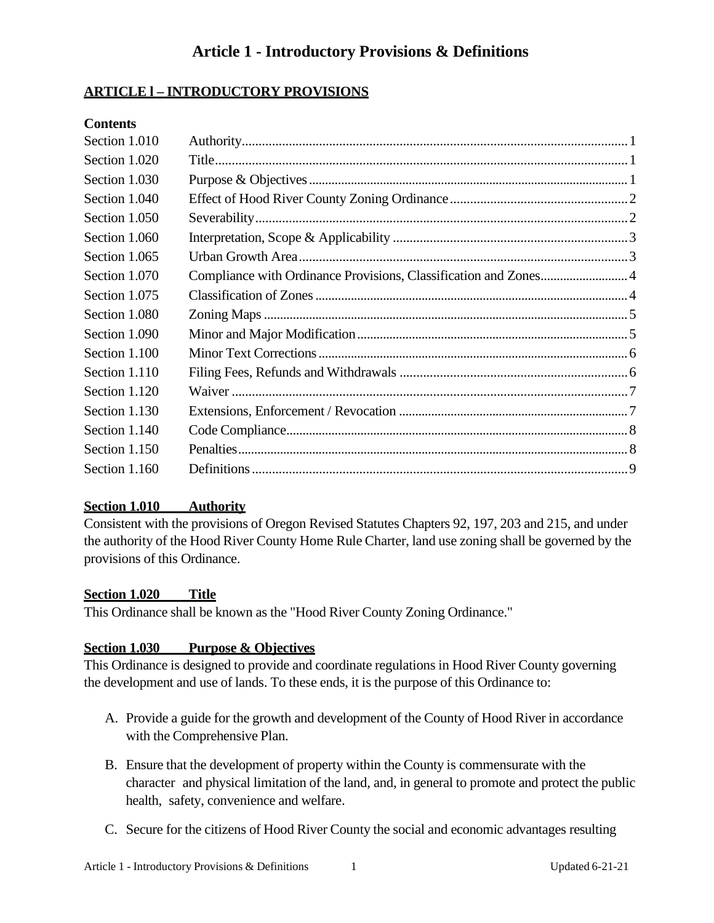### **ARTICLE l – INTRODUCTORY PROVISIONS**

### **Contents**

| Section 1.010 |                                                                  |
|---------------|------------------------------------------------------------------|
| Section 1.020 |                                                                  |
| Section 1.030 |                                                                  |
| Section 1.040 |                                                                  |
| Section 1.050 |                                                                  |
| Section 1.060 |                                                                  |
| Section 1.065 |                                                                  |
| Section 1.070 | Compliance with Ordinance Provisions, Classification and Zones 4 |
| Section 1.075 |                                                                  |
| Section 1.080 |                                                                  |
| Section 1.090 |                                                                  |
| Section 1.100 |                                                                  |
| Section 1.110 |                                                                  |
| Section 1.120 |                                                                  |
| Section 1.130 |                                                                  |
| Section 1.140 |                                                                  |
| Section 1.150 |                                                                  |
| Section 1.160 |                                                                  |

### <span id="page-0-0"></span>**Section 1.010 Authority**

Consistent with the provisions of Oregon Revised Statutes Chapters 92, 197, 203 and 215, and under the authority of the Hood River County Home Rule Charter, land use zoning shall be governed by the provisions of this Ordinance.

### <span id="page-0-1"></span>**Section 1.020 Title**

This Ordinance shall be known as the "Hood River County Zoning Ordinance."

### <span id="page-0-2"></span>**Section 1.030 Purpose & Objectives**

This Ordinance is designed to provide and coordinate regulations in Hood River County governing the development and use of lands. To these ends, it is the purpose of this Ordinance to:

- A. Provide a guide for the growth and development of the County of Hood River in accordance with the Comprehensive Plan.
- B. Ensure that the development of property within the County is commensurate with the character and physical limitation of the land, and, in general to promote and protect the public health, safety, convenience and welfare.
- C. Secure for the citizens of Hood River County the social and economic advantages resulting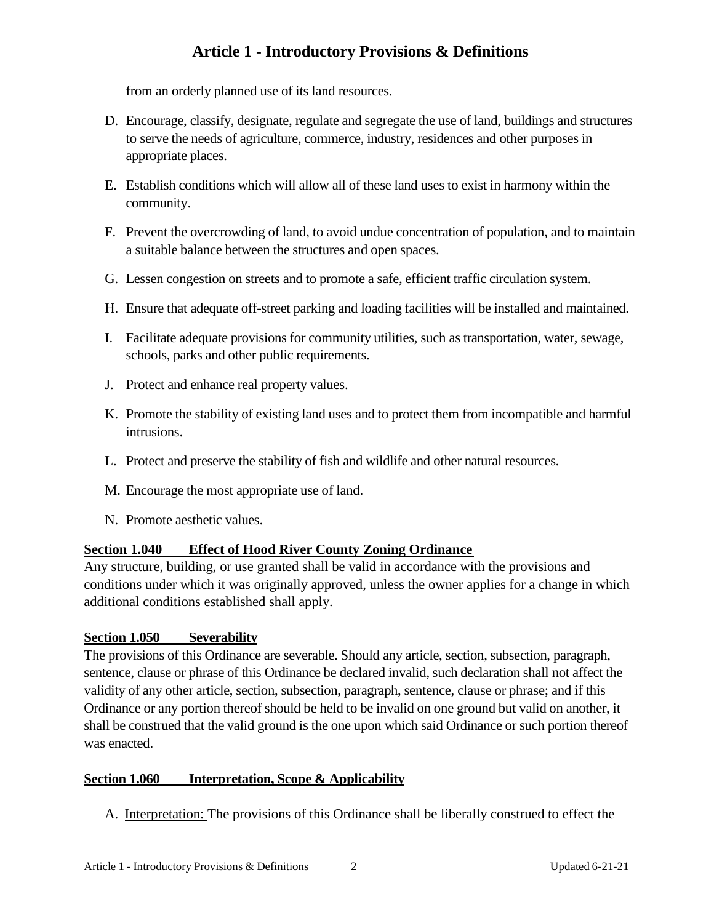from an orderly planned use of its land resources.

- D. Encourage, classify, designate, regulate and segregate the use of land, buildings and structures to serve the needs of agriculture, commerce, industry, residences and other purposes in appropriate places.
- E. Establish conditions which will allow all of these land uses to exist in harmony within the community.
- F. Prevent the overcrowding of land, to avoid undue concentration of population, and to maintain a suitable balance between the structures and open spaces.
- G. Lessen congestion on streets and to promote a safe, efficient traffic circulation system.
- H. Ensure that adequate off-street parking and loading facilities will be installed and maintained.
- I. Facilitate adequate provisions for community utilities, such as transportation, water, sewage, schools, parks and other public requirements.
- J. Protect and enhance real property values.
- K. Promote the stability of existing land uses and to protect them from incompatible and harmful intrusions.
- L. Protect and preserve the stability of fish and wildlife and other natural resources.
- M. Encourage the most appropriate use of land.
- N. Promote aesthetic values.

### <span id="page-1-0"></span>**Section 1.040 Effect of Hood River County Zoning Ordinance**

Any structure, building, or use granted shall be valid in accordance with the provisions and conditions under which it was originally approved, unless the owner applies for a change in which additional conditions established shall apply.

#### <span id="page-1-1"></span>**Section 1.050 Severability**

The provisions of this Ordinance are severable. Should any article, section, subsection, paragraph, sentence, clause or phrase of this Ordinance be declared invalid, such declaration shall not affect the validity of any other article, section, subsection, paragraph, sentence, clause or phrase; and if this Ordinance or any portion thereof should be held to be invalid on one ground but valid on another, it shall be construed that the valid ground is the one upon which said Ordinance or such portion thereof was enacted.

#### <span id="page-1-2"></span>**Section 1.060 Interpretation, Scope & Applicability**

A. Interpretation: The provisions of this Ordinance shall be liberally construed to effect the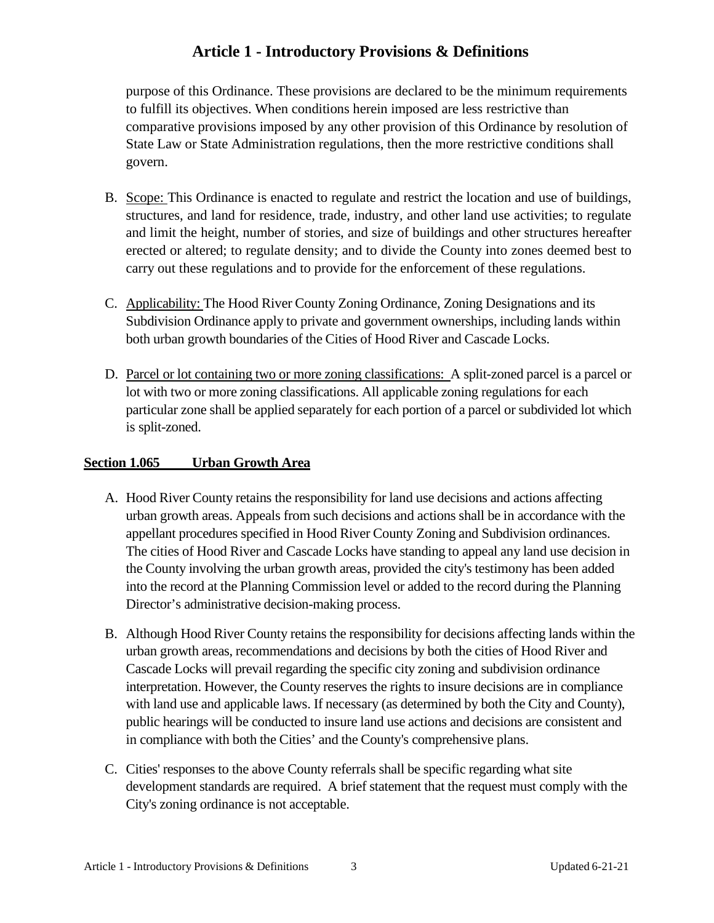purpose of this Ordinance. These provisions are declared to be the minimum requirements to fulfill its objectives. When conditions herein imposed are less restrictive than comparative provisions imposed by any other provision of this Ordinance by resolution of State Law or State Administration regulations, then the more restrictive conditions shall govern.

- B. Scope: This Ordinance is enacted to regulate and restrict the location and use of buildings, structures, and land for residence, trade, industry, and other land use activities; to regulate and limit the height, number of stories, and size of buildings and other structures hereafter erected or altered; to regulate density; and to divide the County into zones deemed best to carry out these regulations and to provide for the enforcement of these regulations.
- C. Applicability: The Hood River County Zoning Ordinance, Zoning Designations and its Subdivision Ordinance apply to private and government ownerships, including lands within both urban growth boundaries of the Cities of Hood River and Cascade Locks.
- D. Parcel or lot containing two or more zoning classifications: A split-zoned parcel is a parcel or lot with two or more zoning classifications. All applicable zoning regulations for each particular zone shall be applied separately for each portion of a parcel or subdivided lot which is split-zoned.

### <span id="page-2-0"></span>**Section 1.065 Urban Growth Area**

- A. Hood River County retains the responsibility for land use decisions and actions affecting urban growth areas. Appeals from such decisions and actions shall be in accordance with the appellant procedures specified in Hood River County Zoning and Subdivision ordinances. The cities of Hood River and Cascade Locks have standing to appeal any land use decision in the County involving the urban growth areas, provided the city's testimony has been added into the record at the Planning Commission level or added to the record during the Planning Director's administrative decision-making process.
- B. Although Hood River County retains the responsibility for decisions affecting lands within the urban growth areas, recommendations and decisions by both the cities of Hood River and Cascade Locks will prevail regarding the specific city zoning and subdivision ordinance interpretation. However, the County reserves the rights to insure decisions are in compliance with land use and applicable laws. If necessary (as determined by both the City and County), public hearings will be conducted to insure land use actions and decisions are consistent and in compliance with both the Cities' and the County's comprehensive plans.
- C. Cities' responses to the above County referrals shall be specific regarding what site development standards are required. A brief statement that the request must comply with the City's zoning ordinance is not acceptable.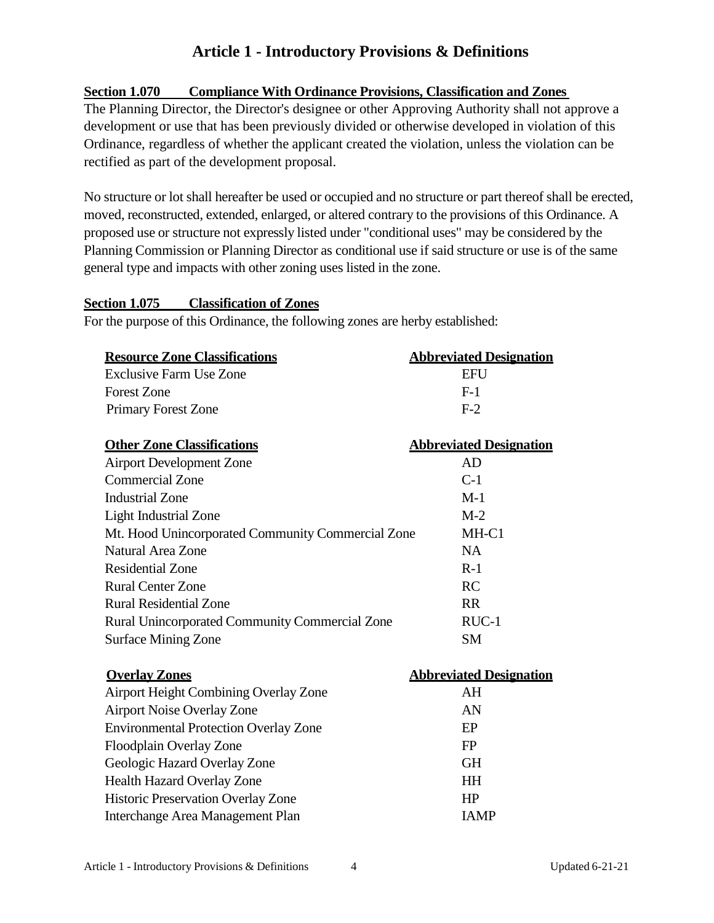### <span id="page-3-0"></span>**Section 1.070 Compliance With Ordinance Provisions, Classification and Zones**

The Planning Director, the Director's designee or other Approving Authority shall not approve a development or use that has been previously divided or otherwise developed in violation of this Ordinance, regardless of whether the applicant created the violation, unless the violation can be rectified as part of the development proposal.

No structure or lot shall hereafter be used or occupied and no structure or part thereof shall be erected, moved, reconstructed, extended, enlarged, or altered contrary to the provisions of this Ordinance. A proposed use or structure not expressly listed under "conditional uses" may be considered by the Planning Commission or Planning Director as conditional use if said structure or use is of the same general type and impacts with other zoning uses listed in the zone.

### <span id="page-3-1"></span>**Section 1.075 Classification of Zones**

For the purpose of this Ordinance, the following zones are herby established:

| <b>Resource Zone Classifications</b>                              | <b>Abbreviated Designation</b> |
|-------------------------------------------------------------------|--------------------------------|
| Exclusive Farm Use Zone                                           | EFU                            |
| <b>Forest Zone</b>                                                | $F-1$                          |
| <b>Primary Forest Zone</b>                                        | $F-2$                          |
| <b>Other Zone Classifications</b>                                 | <b>Abbreviated Designation</b> |
| <b>Airport Development Zone</b>                                   | AD                             |
| $C_{\rm{2}}$ and $\sim$ $\sim$ $\sim$ $\sim$ $\sim$ $\sim$ $\sim$ | $\sim$ 1                       |

| <b>Commercial Zone</b>                            | $C-1$     |
|---------------------------------------------------|-----------|
| <b>Industrial Zone</b>                            | $M-1$     |
| <b>Light Industrial Zone</b>                      | $M-2$     |
| Mt. Hood Unincorporated Community Commercial Zone | MH-C1     |
| Natural Area Zone                                 | NA.       |
| <b>Residential Zone</b>                           | $R-1$     |
| <b>Rural Center Zone</b>                          | RC        |
| <b>Rural Residential Zone</b>                     | <b>RR</b> |
| Rural Unincorporated Community Commercial Zone    | $RUC-1$   |
| <b>Surface Mining Zone</b>                        | <b>SM</b> |

| <b>Overlay Zones</b>                         | <b>Abbreviated Designation</b> |
|----------------------------------------------|--------------------------------|
| Airport Height Combining Overlay Zone        | AH                             |
| <b>Airport Noise Overlay Zone</b>            | AN                             |
| <b>Environmental Protection Overlay Zone</b> | EP                             |
| Floodplain Overlay Zone                      | FP                             |
| Geologic Hazard Overlay Zone                 | <b>GH</b>                      |
| Health Hazard Overlay Zone                   | <b>HH</b>                      |
| Historic Preservation Overlay Zone           | HP                             |
| Interchange Area Management Plan             | <b>JAMP</b>                    |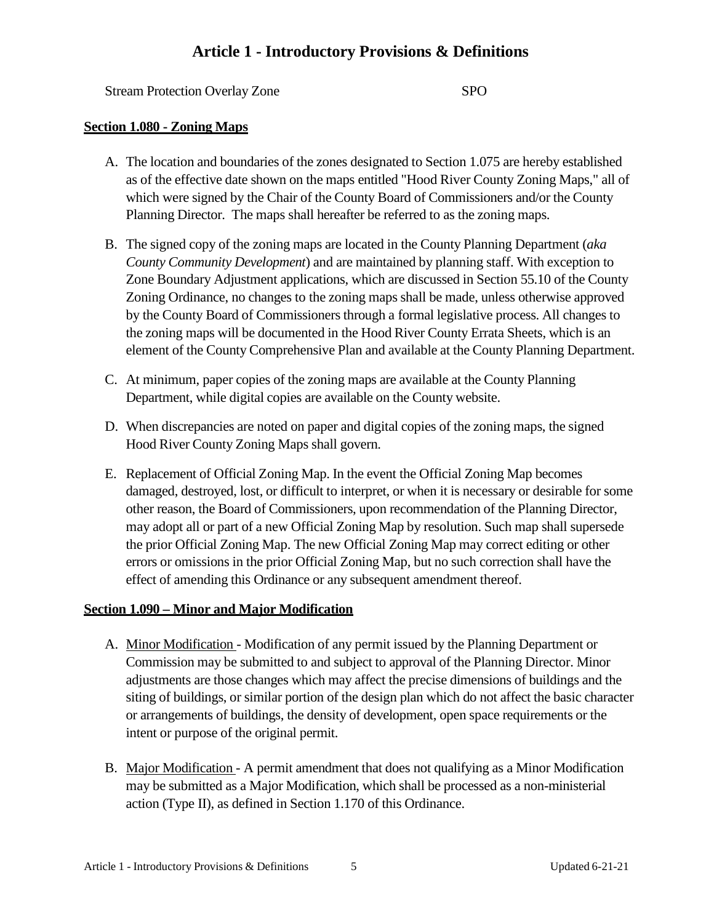Stream Protection Overlay Zone SPO

### <span id="page-4-0"></span>**Section 1.080 - Zoning Maps**

- A. The location and boundaries of the zones designated to Section 1.075 are hereby established as of the effective date shown on the maps entitled "Hood River County Zoning Maps," all of which were signed by the Chair of the County Board of Commissioners and/or the County Planning Director. The maps shall hereafter be referred to as the zoning maps.
- B. The signed copy of the zoning maps are located in the County Planning Department (*aka County Community Development*) and are maintained by planning staff. With exception to Zone Boundary Adjustment applications, which are discussed in Section 55.10 of the County Zoning Ordinance, no changes to the zoning maps shall be made, unless otherwise approved by the County Board of Commissioners through a formal legislative process. All changes to the zoning maps will be documented in the Hood River County Errata Sheets, which is an element of the County Comprehensive Plan and available at the County Planning Department.
- C. At minimum, paper copies of the zoning maps are available at the County Planning Department, while digital copies are available on the County website.
- D. When discrepancies are noted on paper and digital copies of the zoning maps, the signed Hood River County Zoning Maps shall govern.
- E. Replacement of Official Zoning Map. In the event the Official Zoning Map becomes damaged, destroyed, lost, or difficult to interpret, or when it is necessary or desirable for some other reason, the Board of Commissioners, upon recommendation of the Planning Director, may adopt all or part of a new Official Zoning Map by resolution. Such map shall supersede the prior Official Zoning Map. The new Official Zoning Map may correct editing or other errors or omissions in the prior Official Zoning Map, but no such correction shall have the effect of amending this Ordinance or any subsequent amendment thereof.

#### <span id="page-4-1"></span>**Section 1.090 – Minor and Major Modification**

- A. Minor Modification Modification of any permit issued by the Planning Department or Commission may be submitted to and subject to approval of the Planning Director. Minor adjustments are those changes which may affect the precise dimensions of buildings and the siting of buildings, or similar portion of the design plan which do not affect the basic character or arrangements of buildings, the density of development, open space requirements or the intent or purpose of the original permit.
- B. Major Modification A permit amendment that does not qualifying as a Minor Modification may be submitted as a Major Modification, which shall be processed as a non-ministerial action (Type II), as defined in Section 1.170 of this Ordinance.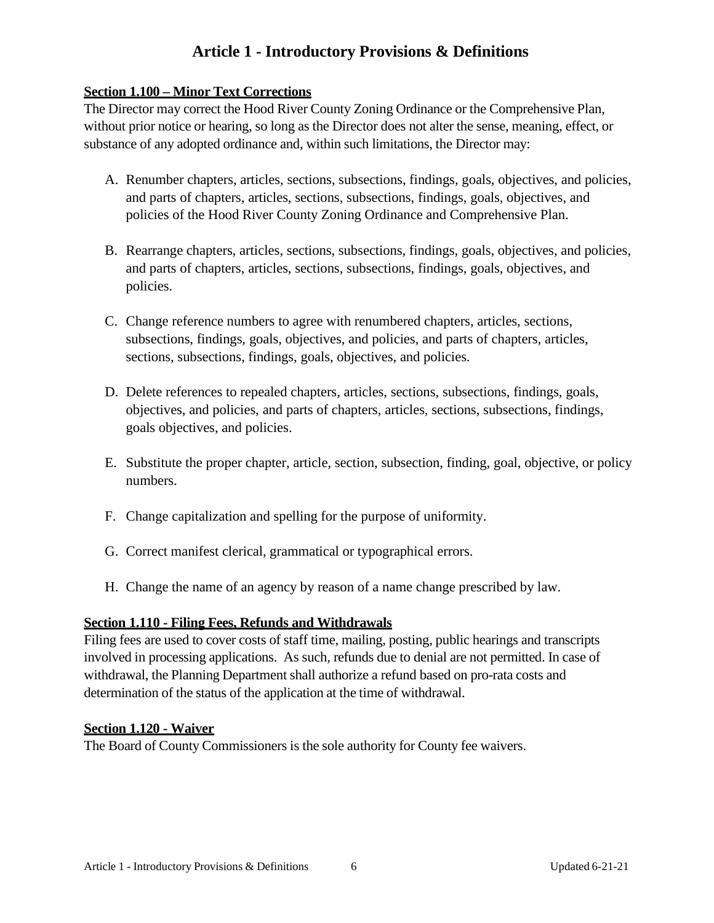### <span id="page-5-0"></span>**Section 1.100 – Minor Text Corrections**

The Director may correct the Hood River County Zoning Ordinance or the Comprehensive Plan, without prior notice or hearing, so long as the Director does not alter the sense, meaning, effect, or substance of any adopted ordinance and, within such limitations, the Director may:

- A. Renumber chapters, articles, sections, subsections, findings, goals, objectives, and policies, and parts of chapters, articles, sections, subsections, findings, goals, objectives, and policies of the Hood River County Zoning Ordinance and Comprehensive Plan.
- B. Rearrange chapters, articles, sections, subsections, findings, goals, objectives, and policies, and parts of chapters, articles, sections, subsections, findings, goals, objectives, and policies.
- C. Change reference numbers to agree with renumbered chapters, articles, sections, subsections, findings, goals, objectives, and policies, and parts of chapters, articles, sections, subsections, findings, goals, objectives, and policies.
- D. Delete references to repealed chapters, articles, sections, subsections, findings, goals, objectives, and policies, and parts of chapters, articles, sections, subsections, findings, goals objectives, and policies.
- E. Substitute the proper chapter, article, section, subsection, finding, goal, objective, or policy numbers.
- F. Change capitalization and spelling for the purpose of uniformity.
- G. Correct manifest clerical, grammatical or typographical errors.
- H. Change the name of an agency by reason of a name change prescribed by law.

### **Section 1.110 - Filing Fees, Refunds and Withdrawals**

Filing fees are used to cover costs of staff time, mailing, posting, public hearings and transcripts involved in processing applications. As such, refunds due to denial are not permitted. In case of withdrawal, the Planning Department shall authorize a refund based on pro-rata costs and determination of the status of the application at the time of withdrawal.

#### <span id="page-5-1"></span>**Section 1.120 - Waiver**

<span id="page-5-2"></span>The Board of County Commissioners is the sole authority for County fee waivers.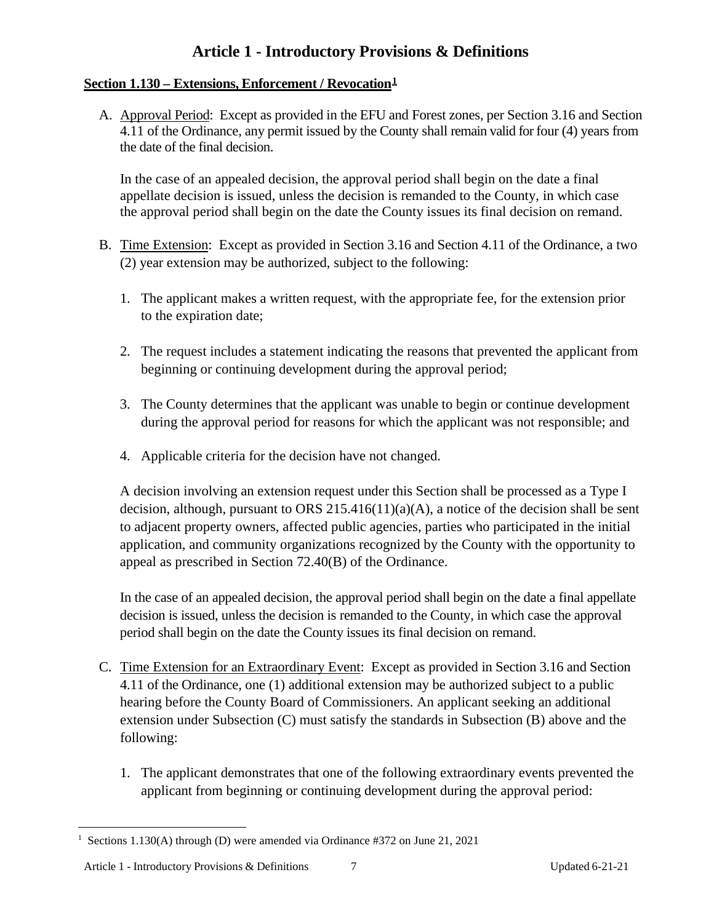### **Section 1.130 – Extensions, Enforcement / Revocation[1](#page-6-0)**

A. Approval Period: Except as provided in the EFU and Forest zones, per Section 3.16 and Section 4.11 of the Ordinance, any permit issued by the County shall remain valid for four (4) years from the date of the final decision.

In the case of an appealed decision, the approval period shall begin on the date a final appellate decision is issued, unless the decision is remanded to the County, in which case the approval period shall begin on the date the County issues its final decision on remand.

- B. Time Extension: Except as provided in Section 3.16 and Section 4.11 of the Ordinance, a two (2) year extension may be authorized, subject to the following:
	- 1. The applicant makes a written request, with the appropriate fee, for the extension prior to the expiration date;
	- 2. The request includes a statement indicating the reasons that prevented the applicant from beginning or continuing development during the approval period;
	- 3. The County determines that the applicant was unable to begin or continue development during the approval period for reasons for which the applicant was not responsible; and
	- 4. Applicable criteria for the decision have not changed.

A decision involving an extension request under this Section shall be processed as a Type I decision, although, pursuant to ORS 215.416(11)(a)(A), a notice of the decision shall be sent to adjacent property owners, affected public agencies, parties who participated in the initial application, and community organizations recognized by the County with the opportunity to appeal as prescribed in Section 72.40(B) of the Ordinance.

In the case of an appealed decision, the approval period shall begin on the date a final appellate decision is issued, unless the decision is remanded to the County, in which case the approval period shall begin on the date the County issues its final decision on remand.

- C. Time Extension for an Extraordinary Event: Except as provided in Section 3.16 and Section 4.11 of the Ordinance, one (1) additional extension may be authorized subject to a public hearing before the County Board of Commissioners. An applicant seeking an additional extension under Subsection (C) must satisfy the standards in Subsection (B) above and the following:
	- 1. The applicant demonstrates that one of the following extraordinary events prevented the applicant from beginning or continuing development during the approval period:

<span id="page-6-0"></span><sup>&</sup>lt;sup>1</sup> Sections 1.130(A) through (D) were amended via Ordinance #372 on June 21, 2021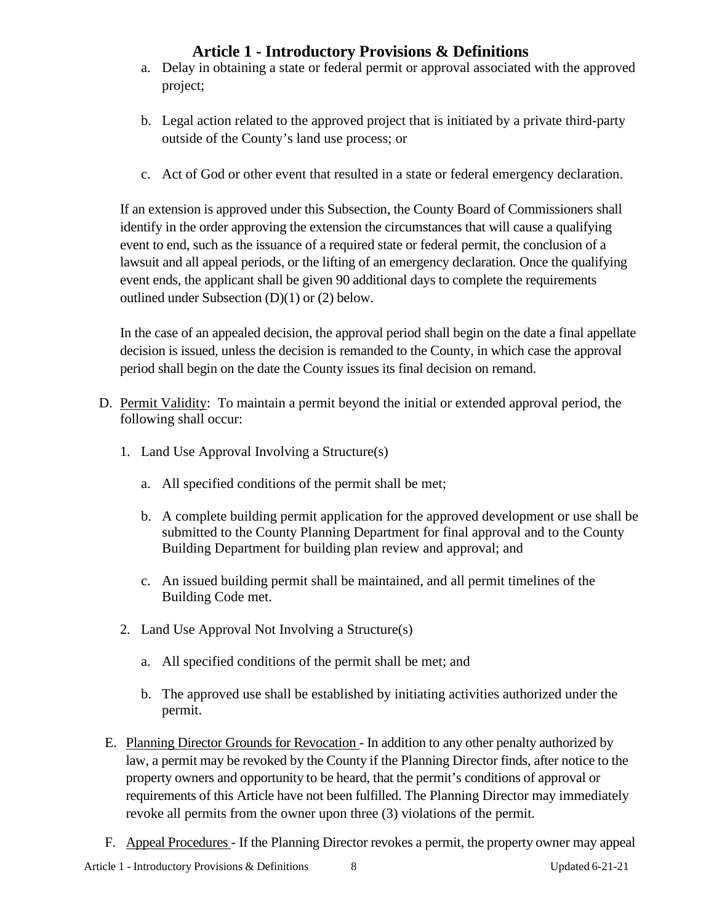- a. Delay in obtaining a state or federal permit or approval associated with the approved project;
- b. Legal action related to the approved project that is initiated by a private third-party outside of the County's land use process; or
- c. Act of God or other event that resulted in a state or federal emergency declaration.

If an extension is approved under this Subsection, the County Board of Commissioners shall identify in the order approving the extension the circumstances that will cause a qualifying event to end, such as the issuance of a required state or federal permit, the conclusion of a lawsuit and all appeal periods, or the lifting of an emergency declaration. Once the qualifying event ends, the applicant shall be given 90 additional days to complete the requirements outlined under Subsection (D)(1) or (2) below.

In the case of an appealed decision, the approval period shall begin on the date a final appellate decision is issued, unless the decision is remanded to the County, in which case the approval period shall begin on the date the County issues its final decision on remand.

- D. Permit Validity: To maintain a permit beyond the initial or extended approval period, the following shall occur:
	- 1. Land Use Approval Involving a Structure(s)
		- a. All specified conditions of the permit shall be met;
		- b. A complete building permit application for the approved development or use shall be submitted to the County Planning Department for final approval and to the County Building Department for building plan review and approval; and
		- c. An issued building permit shall be maintained, and all permit timelines of the Building Code met.
	- 2. Land Use Approval Not Involving a Structure(s)
		- a. All specified conditions of the permit shall be met; and
		- b. The approved use shall be established by initiating activities authorized under the permit.
	- E. Planning Director Grounds for Revocation In addition to any other penalty authorized by law, a permit may be revoked by the County if the Planning Director finds, after notice to the property owners and opportunity to be heard, that the permit's conditions of approval or requirements of this Article have not been fulfilled. The Planning Director may immediately revoke all permits from the owner upon three (3) violations of the permit.
- F. Appeal Procedures If the Planning Director revokes a permit, the property owner may appeal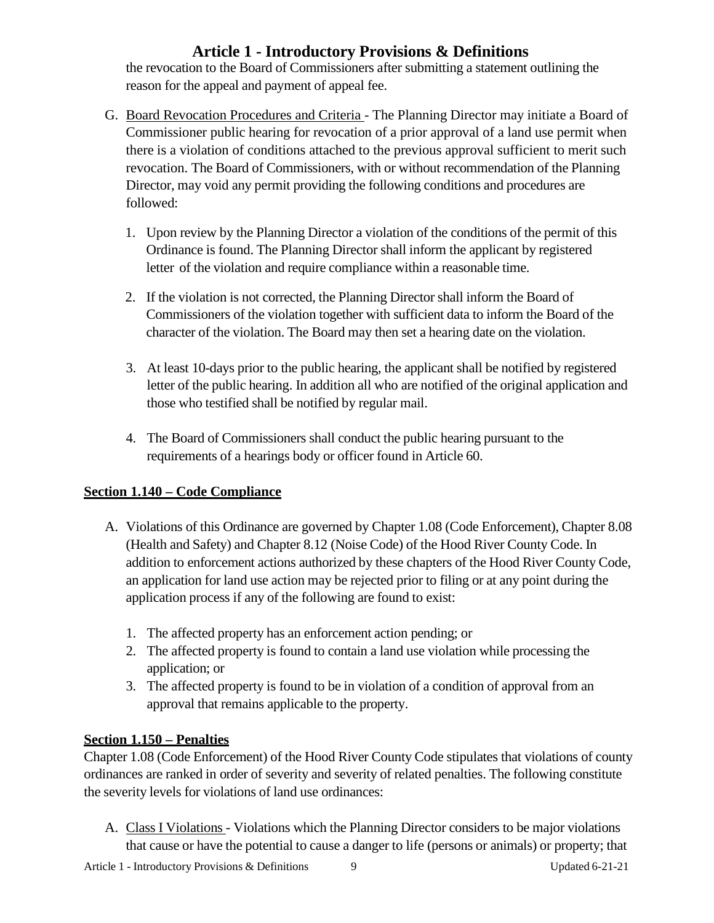the revocation to the Board of Commissioners after submitting a statement outlining the reason for the appeal and payment of appeal fee.

- G. Board Revocation Procedures and Criteria The Planning Director may initiate a Board of Commissioner public hearing for revocation of a prior approval of a land use permit when there is a violation of conditions attached to the previous approval sufficient to merit such revocation. The Board of Commissioners, with or without recommendation of the Planning Director, may void any permit providing the following conditions and procedures are followed:
	- 1. Upon review by the Planning Director a violation of the conditions of the permit of this Ordinance is found. The Planning Director shall inform the applicant by registered letter of the violation and require compliance within a reasonable time.
	- 2. If the violation is not corrected, the Planning Director shall inform the Board of Commissioners of the violation together with sufficient data to inform the Board of the character of the violation. The Board may then set a hearing date on the violation.
	- 3. At least 10-days prior to the public hearing, the applicant shall be notified by registered letter of the public hearing. In addition all who are notified of the original application and those who testified shall be notified by regular mail.
	- 4. The Board of Commissioners shall conduct the public hearing pursuant to the requirements of a hearings body or officer found in Article 60.

### <span id="page-8-0"></span>**Section 1.140 – Code Compliance**

- A. Violations of this Ordinance are governed by Chapter 1.08 (Code Enforcement), Chapter 8.08 (Health and Safety) and Chapter 8.12 (Noise Code) of the Hood River County Code. In addition to enforcement actions authorized by these chapters of the Hood River County Code, an application for land use action may be rejected prior to filing or at any point during the application process if any of the following are found to exist:
	- 1. The affected property has an enforcement action pending; or
	- 2. The affected property is found to contain a land use violation while processing the application; or
	- 3. The affected property is found to be in violation of a condition of approval from an approval that remains applicable to the property.

### <span id="page-8-1"></span>**Section 1.150 – Penalties**

Chapter 1.08 (Code Enforcement) of the Hood River County Code stipulates that violations of county ordinances are ranked in order of severity and severity of related penalties. The following constitute the severity levels for violations of land use ordinances:

A. Class I Violations - Violations which the Planning Director considers to be major violations that cause or have the potential to cause a danger to life (persons or animals) or property; that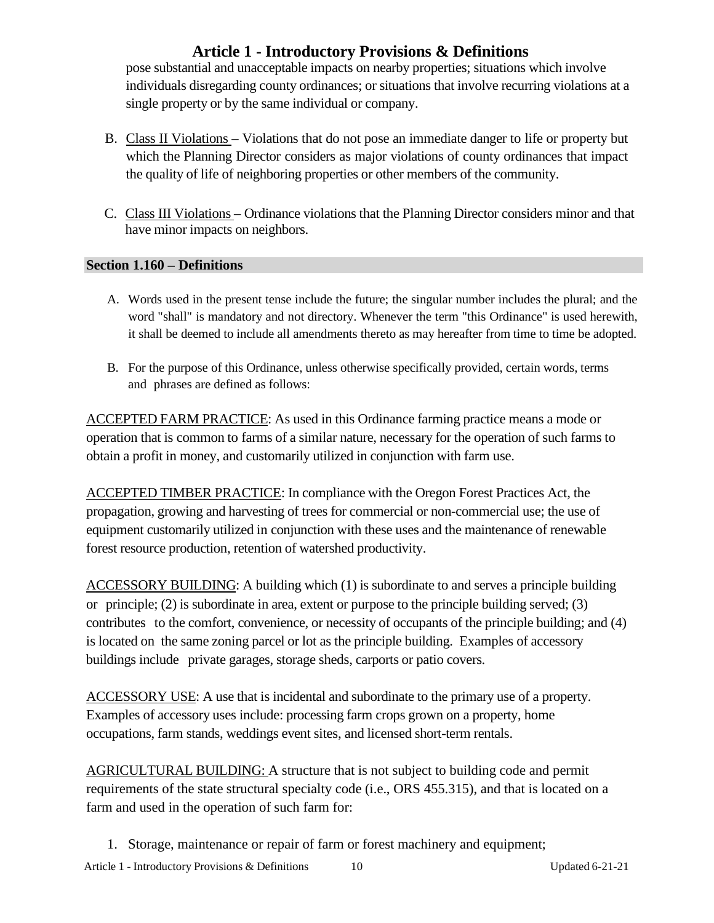pose substantial and unacceptable impacts on nearby properties; situations which involve individuals disregarding county ordinances; or situations that involve recurring violations at a single property or by the same individual or company.

- B. Class II Violations Violations that do not pose an immediate danger to life or property but which the Planning Director considers as major violations of county ordinances that impact the quality of life of neighboring properties or other members of the community.
- C. Class III Violations Ordinance violations that the Planning Director considers minor and that have minor impacts on neighbors.

### <span id="page-9-0"></span>**Section 1.160 – Definitions**

- A. Words used in the present tense include the future; the singular number includes the plural; and the word "shall" is mandatory and not directory. Whenever the term "this Ordinance" is used herewith, it shall be deemed to include all amendments thereto as may hereafter from time to time be adopted.
- B. For the purpose of this Ordinance, unless otherwise specifically provided, certain words, terms and phrases are defined as follows:

ACCEPTED FARM PRACTICE: As used in this Ordinance farming practice means a mode or operation that is common to farms of a similar nature, necessary for the operation of such farms to obtain a profit in money, and customarily utilized in conjunction with farm use.

ACCEPTED TIMBER PRACTICE: In compliance with the Oregon Forest Practices Act, the propagation, growing and harvesting of trees for commercial or non-commercial use; the use of equipment customarily utilized in conjunction with these uses and the maintenance of renewable forest resource production, retention of watershed productivity.

ACCESSORY BUILDING: A building which (1) is subordinate to and serves a principle building or principle; (2) is subordinate in area, extent or purpose to the principle building served; (3) contributes to the comfort, convenience, or necessity of occupants of the principle building; and (4) is located on the same zoning parcel or lot as the principle building. Examples of accessory buildings include private garages, storage sheds, carports or patio covers.

ACCESSORY USE: A use that is incidental and subordinate to the primary use of a property. Examples of accessory uses include: processing farm crops grown on a property, home occupations, farm stands, weddings event sites, and licensed short-term rentals.

AGRICULTURAL BUILDING: A structure that is not subject to building code and permit requirements of the state structural specialty code (i.e., ORS 455.315), and that is located on a farm and used in the operation of such farm for:

1. Storage, maintenance or repair of farm or forest machinery and equipment;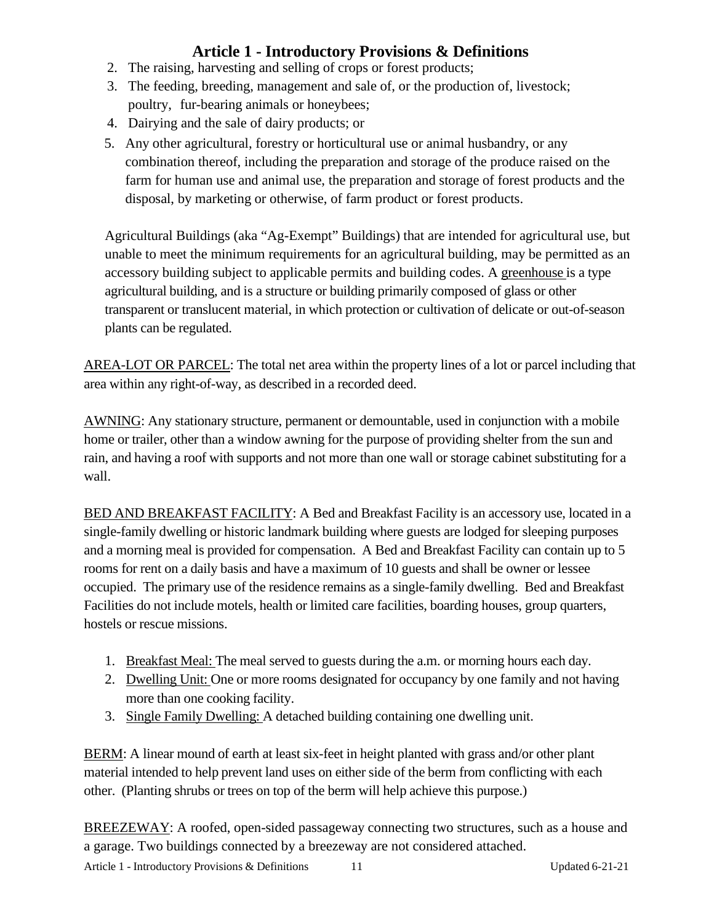- 2. The raising, harvesting and selling of crops or forest products;
- 3. The feeding, breeding, management and sale of, or the production of, livestock; poultry, fur-bearing animals or honeybees;
- 4. Dairying and the sale of dairy products; or
- 5. Any other agricultural, forestry or horticultural use or animal husbandry, or any combination thereof, including the preparation and storage of the produce raised on the farm for human use and animal use, the preparation and storage of forest products and the disposal, by marketing or otherwise, of farm product or forest products.

Agricultural Buildings (aka "Ag-Exempt" Buildings) that are intended for agricultural use, but unable to meet the minimum requirements for an agricultural building, may be permitted as an accessory building subject to applicable permits and building codes. A greenhouse is a type agricultural building, and is a structure or building primarily composed of glass or other transparent or translucent material, in which protection or cultivation of delicate or out-of-season plants can be regulated.

AREA-LOT OR PARCEL: The total net area within the property lines of a lot or parcel including that area within any right-of-way, as described in a recorded deed.

AWNING: Any stationary structure, permanent or demountable, used in conjunction with a mobile home or trailer, other than a window awning for the purpose of providing shelter from the sun and rain, and having a roof with supports and not more than one wall or storage cabinet substituting for a wall.

BED AND BREAKFAST FACILITY: A Bed and Breakfast Facility is an accessory use, located in a single-family dwelling or historic landmark building where guests are lodged for sleeping purposes and a morning meal is provided for compensation. A Bed and Breakfast Facility can contain up to 5 rooms for rent on a daily basis and have a maximum of 10 guests and shall be owner or lessee occupied. The primary use of the residence remains as a single-family dwelling. Bed and Breakfast Facilities do not include motels, health or limited care facilities, boarding houses, group quarters, hostels or rescue missions.

- 1. Breakfast Meal: The meal served to guests during the a.m. or morning hours each day.
- 2. Dwelling Unit: One or more rooms designated for occupancy by one family and not having more than one cooking facility.
- 3. Single Family Dwelling: A detached building containing one dwelling unit.

BERM: A linear mound of earth at least six-feet in height planted with grass and/or other plant material intended to help prevent land uses on either side of the berm from conflicting with each other. (Planting shrubs or trees on top of the berm will help achieve this purpose.)

BREEZEWAY: A roofed, open-sided passageway connecting two structures, such as a house and a garage. Two buildings connected by a breezeway are not considered attached.

Article 1 - Introductory Provisions & Definitions 11 Updated 6-21-21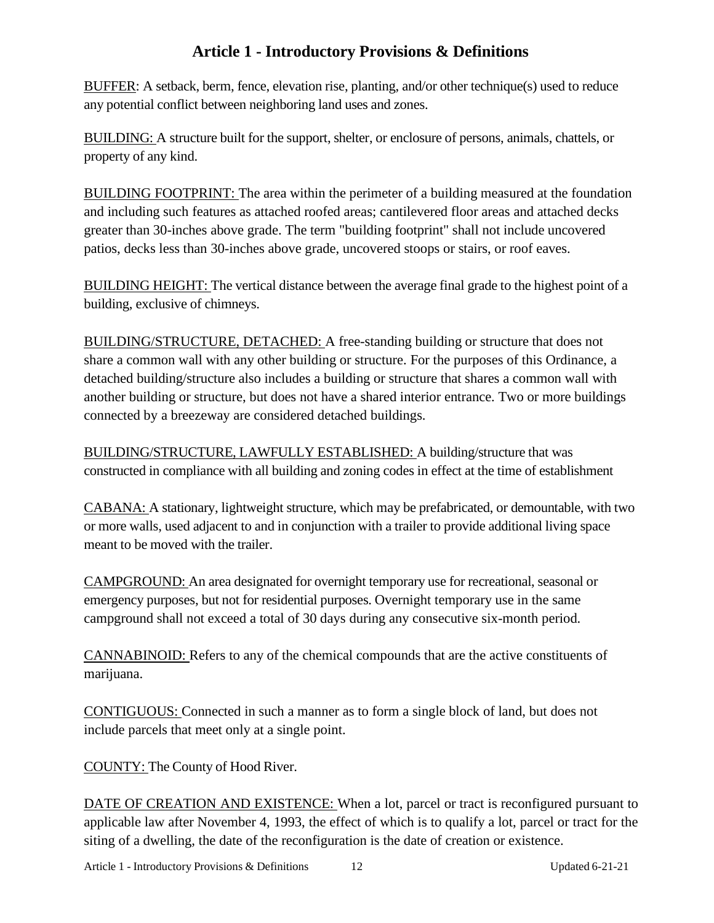BUFFER: A setback, berm, fence, elevation rise, planting, and/or other technique(s) used to reduce any potential conflict between neighboring land uses and zones.

BUILDING: A structure built for the support, shelter, or enclosure of persons, animals, chattels, or property of any kind.

BUILDING FOOTPRINT: The area within the perimeter of a building measured at the foundation and including such features as attached roofed areas; cantilevered floor areas and attached decks greater than 30-inches above grade. The term "building footprint" shall not include uncovered patios, decks less than 30-inches above grade, uncovered stoops or stairs, or roof eaves.

BUILDING HEIGHT: The vertical distance between the average final grade to the highest point of a building, exclusive of chimneys.

BUILDING/STRUCTURE, DETACHED: A free-standing building or structure that does not share a common wall with any other building or structure. For the purposes of this Ordinance, a detached building/structure also includes a building or structure that shares a common wall with another building or structure, but does not have a shared interior entrance. Two or more buildings connected by a breezeway are considered detached buildings.

BUILDING/STRUCTURE, LAWFULLY ESTABLISHED: A building/structure that was constructed in compliance with all building and zoning codes in effect at the time of establishment

CABANA: A stationary, lightweight structure, which may be prefabricated, or demountable, with two or more walls, used adjacent to and in conjunction with a trailer to provide additional living space meant to be moved with the trailer.

CAMPGROUND: An area designated for overnight temporary use for recreational, seasonal or emergency purposes, but not for residential purposes. Overnight temporary use in the same campground shall not exceed a total of 30 days during any consecutive six-month period.

CANNABINOID: Refers to any of the chemical compounds that are the active constituents of marijuana.

CONTIGUOUS: Connected in such a manner as to form a single block of land, but does not include parcels that meet only at a single point.

COUNTY: The County of Hood River.

DATE OF CREATION AND EXISTENCE: When a lot, parcel or tract is reconfigured pursuant to applicable law after November 4, 1993, the effect of which is to qualify a lot, parcel or tract for the siting of a dwelling, the date of the reconfiguration is the date of creation or existence.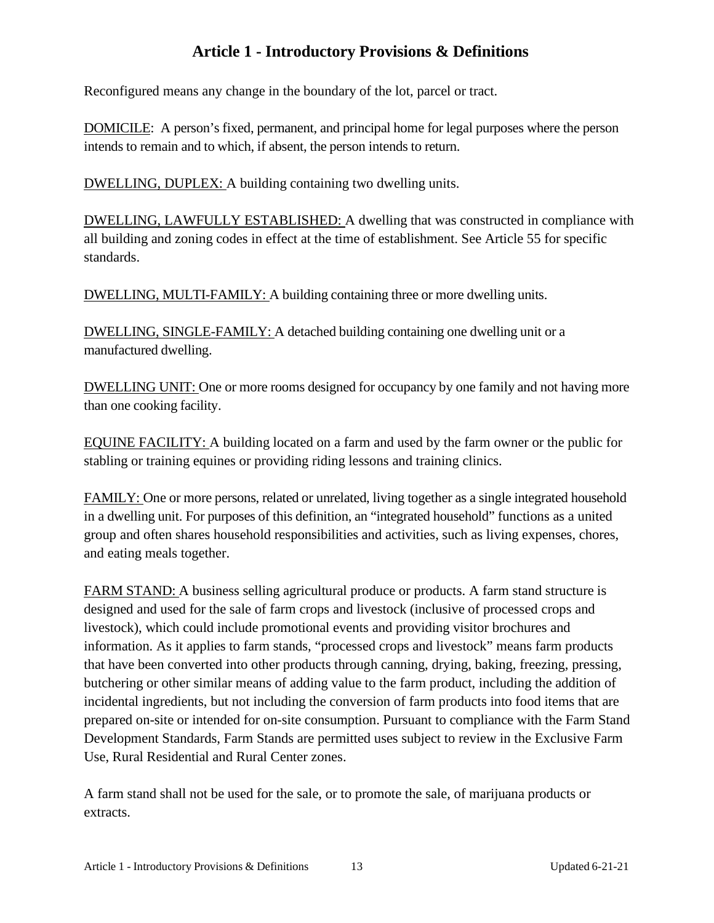Reconfigured means any change in the boundary of the lot, parcel or tract.

DOMICILE: A person's fixed, permanent, and principal home for legal purposes where the person intends to remain and to which, if absent, the person intends to return.

DWELLING, DUPLEX: A building containing two dwelling units.

DWELLING, LAWFULLY ESTABLISHED: A dwelling that was constructed in compliance with all building and zoning codes in effect at the time of establishment. See Article 55 for specific standards.

DWELLING, MULTI-FAMILY: A building containing three or more dwelling units.

DWELLING, SINGLE-FAMILY: A detached building containing one dwelling unit or a manufactured dwelling.

DWELLING UNIT: One or more rooms designed for occupancy by one family and not having more than one cooking facility.

EQUINE FACILITY: A building located on a farm and used by the farm owner or the public for stabling or training equines or providing riding lessons and training clinics.

FAMILY: One or more persons, related or unrelated, living together as a single integrated household in a dwelling unit. For purposes of this definition, an "integrated household" functions as a united group and often shares household responsibilities and activities, such as living expenses, chores, and eating meals together.

FARM STAND: A business selling agricultural produce or products. A farm stand structure is designed and used for the sale of farm crops and livestock (inclusive of processed crops and livestock), which could include promotional events and providing visitor brochures and information. As it applies to farm stands, "processed crops and livestock" means farm products that have been converted into other products through canning, drying, baking, freezing, pressing, butchering or other similar means of adding value to the farm product, including the addition of incidental ingredients, but not including the conversion of farm products into food items that are prepared on-site or intended for on-site consumption. Pursuant to compliance with the Farm Stand Development Standards, Farm Stands are permitted uses subject to review in the Exclusive Farm Use, Rural Residential and Rural Center zones.

A farm stand shall not be used for the sale, or to promote the sale, of marijuana products or extracts.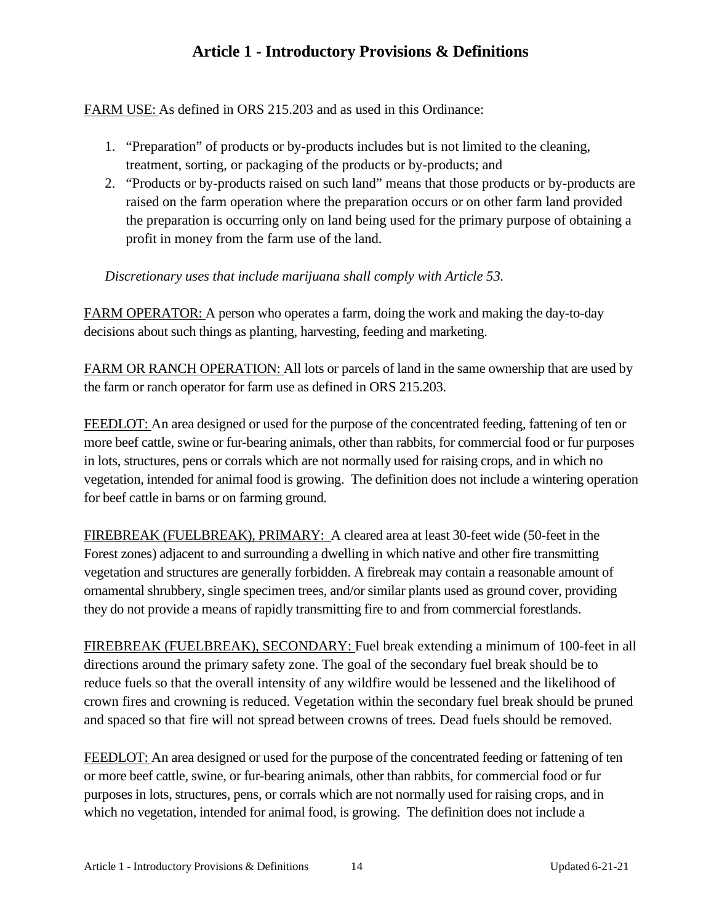FARM USE: As defined in ORS 215.203 and as used in this Ordinance:

- 1. "Preparation" of products or by-products includes but is not limited to the cleaning, treatment, sorting, or packaging of the products or by-products; and
- 2. "Products or by-products raised on such land" means that those products or by-products are raised on the farm operation where the preparation occurs or on other farm land provided the preparation is occurring only on land being used for the primary purpose of obtaining a profit in money from the farm use of the land.

*Discretionary uses that include marijuana shall comply with Article 53.*

FARM OPERATOR: A person who operates a farm, doing the work and making the day-to-day decisions about such things as planting, harvesting, feeding and marketing.

FARM OR RANCH OPERATION: All lots or parcels of land in the same ownership that are used by the farm or ranch operator for farm use as defined in ORS 215.203.

FEEDLOT: An area designed or used for the purpose of the concentrated feeding, fattening of ten or more beef cattle, swine or fur-bearing animals, other than rabbits, for commercial food or fur purposes in lots, structures, pens or corrals which are not normally used for raising crops, and in which no vegetation, intended for animal food is growing. The definition does not include a wintering operation for beef cattle in barns or on farming ground.

FIREBREAK (FUELBREAK), PRIMARY: A cleared area at least 30-feet wide (50-feet in the Forest zones) adjacent to and surrounding a dwelling in which native and other fire transmitting vegetation and structures are generally forbidden. A firebreak may contain a reasonable amount of ornamental shrubbery, single specimen trees, and/or similar plants used as ground cover, providing they do not provide a means of rapidly transmitting fire to and from commercial forestlands.

FIREBREAK (FUELBREAK), SECONDARY: Fuel break extending a minimum of 100-feet in all directions around the primary safety zone. The goal of the secondary fuel break should be to reduce fuels so that the overall intensity of any wildfire would be lessened and the likelihood of crown fires and crowning is reduced. Vegetation within the secondary fuel break should be pruned and spaced so that fire will not spread between crowns of trees. Dead fuels should be removed.

FEEDLOT: An area designed or used for the purpose of the concentrated feeding or fattening of ten or more beef cattle, swine, or fur-bearing animals, other than rabbits, for commercial food or fur purposes in lots, structures, pens, or corrals which are not normally used for raising crops, and in which no vegetation, intended for animal food, is growing. The definition does not include a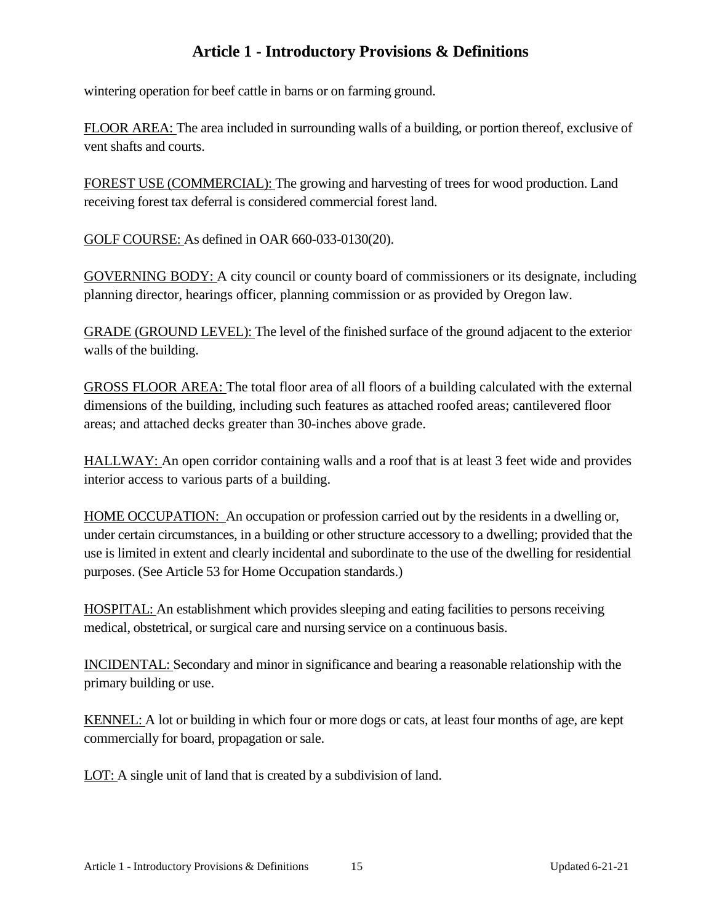wintering operation for beef cattle in barns or on farming ground.

FLOOR AREA: The area included in surrounding walls of a building, or portion thereof, exclusive of vent shafts and courts.

FOREST USE (COMMERCIAL): The growing and harvesting of trees for wood production. Land receiving forest tax deferral is considered commercial forest land.

GOLF COURSE: As defined in OAR 660-033-0130(20).

GOVERNING BODY: A city council or county board of commissioners or its designate, including planning director, hearings officer, planning commission or as provided by Oregon law.

GRADE (GROUND LEVEL): The level of the finished surface of the ground adjacent to the exterior walls of the building.

GROSS FLOOR AREA: The total floor area of all floors of a building calculated with the external dimensions of the building, including such features as attached roofed areas; cantilevered floor areas; and attached decks greater than 30-inches above grade.

HALLWAY: An open corridor containing walls and a roof that is at least 3 feet wide and provides interior access to various parts of a building.

HOME OCCUPATION: An occupation or profession carried out by the residents in a dwelling or, under certain circumstances, in a building or other structure accessory to a dwelling; provided that the use is limited in extent and clearly incidental and subordinate to the use of the dwelling for residential purposes. (See Article 53 for Home Occupation standards.)

HOSPITAL: An establishment which provides sleeping and eating facilities to persons receiving medical, obstetrical, or surgical care and nursing service on a continuous basis.

INCIDENTAL: Secondary and minor in significance and bearing a reasonable relationship with the primary building or use.

KENNEL: A lot or building in which four or more dogs or cats, at least four months of age, are kept commercially for board, propagation or sale.

LOT: A single unit of land that is created by a subdivision of land.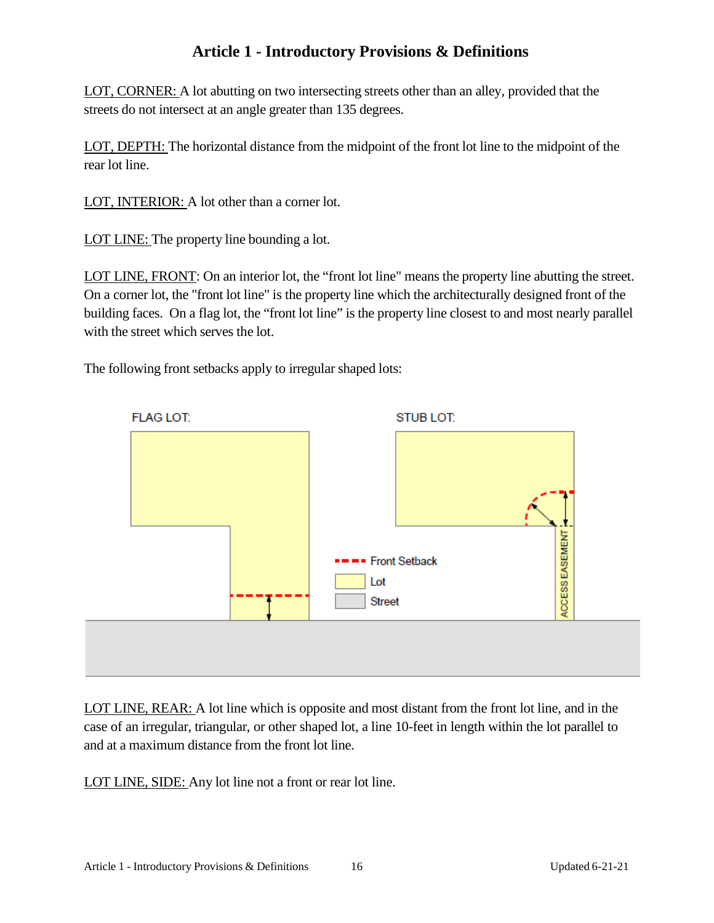LOT, CORNER: A lot abutting on two intersecting streets other than an alley, provided that the streets do not intersect at an angle greater than 135 degrees.

LOT, DEPTH: The horizontal distance from the midpoint of the front lot line to the midpoint of the rear lot line.

LOT, INTERIOR: A lot other than a corner lot.

LOT LINE: The property line bounding a lot.

LOT LINE, FRONT: On an interior lot, the "front lot line" means the property line abutting the street. On a corner lot, the "front lot line" is the property line which the architecturally designed front of the building faces. On a flag lot, the "front lot line" is the property line closest to and most nearly parallel with the street which serves the lot.

The following front setbacks apply to irregular shaped lots:



LOT LINE, REAR: A lot line which is opposite and most distant from the front lot line, and in the case of an irregular, triangular, or other shaped lot, a line 10-feet in length within the lot parallel to and at a maximum distance from the front lot line.

LOT LINE, SIDE: Any lot line not a front or rear lot line.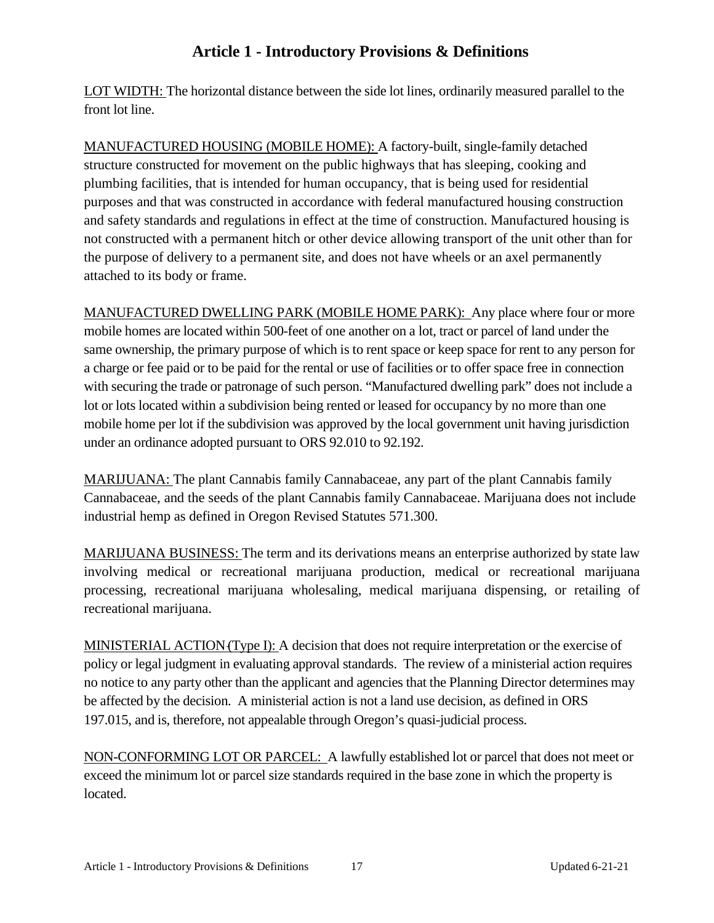LOT WIDTH: The horizontal distance between the side lot lines, ordinarily measured parallel to the front lot line.

MANUFACTURED HOUSING (MOBILE HOME): A factory-built, single-family detached structure constructed for movement on the public highways that has sleeping, cooking and plumbing facilities, that is intended for human occupancy, that is being used for residential purposes and that was constructed in accordance with federal manufactured housing construction and safety standards and regulations in effect at the time of construction. Manufactured housing is not constructed with a permanent hitch or other device allowing transport of the unit other than for the purpose of delivery to a permanent site, and does not have wheels or an axel permanently attached to its body or frame.

MANUFACTURED DWELLING PARK (MOBILE HOME PARK): Any place where four or more mobile homes are located within 500-feet of one another on a lot, tract or parcel of land under the same ownership, the primary purpose of which is to rent space or keep space for rent to any person for a charge or fee paid or to be paid for the rental or use of facilities or to offer space free in connection with securing the trade or patronage of such person. "Manufactured dwelling park" does not include a lot or lots located within a subdivision being rented or leased for occupancy by no more than one mobile home per lot if the subdivision was approved by the local government unit having jurisdiction under an ordinance adopted pursuant to ORS 92.010 to 92.192.

MARIJUANA: The plant Cannabis family Cannabaceae, any part of the plant Cannabis family Cannabaceae, and the seeds of the plant Cannabis family Cannabaceae. Marijuana does not include industrial hemp as defined in Oregon Revised Statutes 571.300.

MARIJUANA BUSINESS: The term and its derivations means an enterprise authorized by state law involving medical or recreational marijuana production, medical or recreational marijuana processing, recreational marijuana wholesaling, medical marijuana dispensing, or retailing of recreational marijuana.

MINISTERIAL ACTION(Type I): A decision that does not require interpretation or the exercise of policy or legal judgment in evaluating approval standards. The review of a ministerial action requires no notice to any party other than the applicant and agencies that the Planning Director determines may be affected by the decision. A ministerial action is not a land use decision, as defined in ORS 197.015, and is, therefore, not appealable through Oregon's quasi-judicial process.

NON-CONFORMING LOT OR PARCEL: A lawfully established lot or parcel that does not meet or exceed the minimum lot or parcel size standards required in the base zone in which the property is located.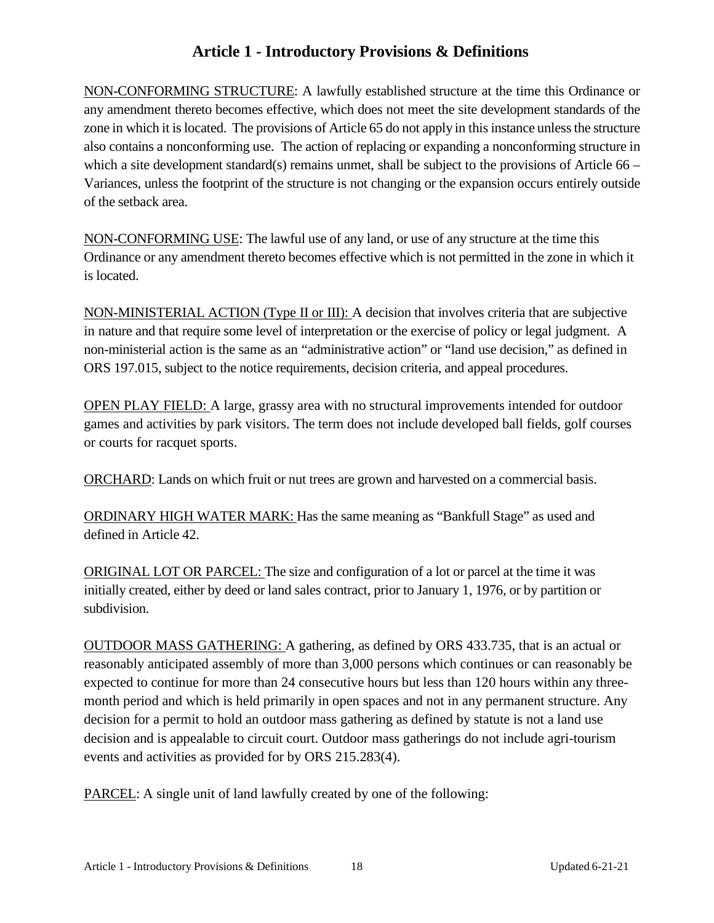NON-CONFORMING STRUCTURE: A lawfully established structure at the time this Ordinance or any amendment thereto becomes effective, which does not meet the site development standards of the zone in which it is located. The provisions of Article 65 do not apply in this instance unless the structure also contains a nonconforming use. The action of replacing or expanding a nonconforming structure in which a site development standard(s) remains unmet, shall be subject to the provisions of Article 66 – Variances, unless the footprint of the structure is not changing or the expansion occurs entirely outside of the setback area.

NON-CONFORMING USE: The lawful use of any land, or use of any structure at the time this Ordinance or any amendment thereto becomes effective which is not permitted in the zone in which it is located.

NON-MINISTERIAL ACTION (Type II or III): A decision that involves criteria that are subjective in nature and that require some level of interpretation or the exercise of policy or legal judgment. A non-ministerial action is the same as an "administrative action" or "land use decision," as defined in ORS 197.015, subject to the notice requirements, decision criteria, and appeal procedures.

OPEN PLAY FIELD: A large, grassy area with no structural improvements intended for outdoor games and activities by park visitors. The term does not include developed ball fields, golf courses or courts for racquet sports.

ORCHARD: Lands on which fruit or nut trees are grown and harvested on a commercial basis.

ORDINARY HIGH WATER MARK: Has the same meaning as "Bankfull Stage" as used and defined in Article 42.

ORIGINAL LOT OR PARCEL: The size and configuration of a lot or parcel at the time it was initially created, either by deed or land sales contract, prior to January 1, 1976, or by partition or subdivision.

OUTDOOR MASS GATHERING: A gathering, as defined by ORS 433.735, that is an actual or reasonably anticipated assembly of more than 3,000 persons which continues or can reasonably be expected to continue for more than 24 consecutive hours but less than 120 hours within any threemonth period and which is held primarily in open spaces and not in any permanent structure. Any decision for a permit to hold an outdoor mass gathering as defined by statute is not a land use decision and is appealable to circuit court. Outdoor mass gatherings do not include agri-tourism events and activities as provided for by ORS 215.283(4).

PARCEL: A single unit of land lawfully created by one of the following: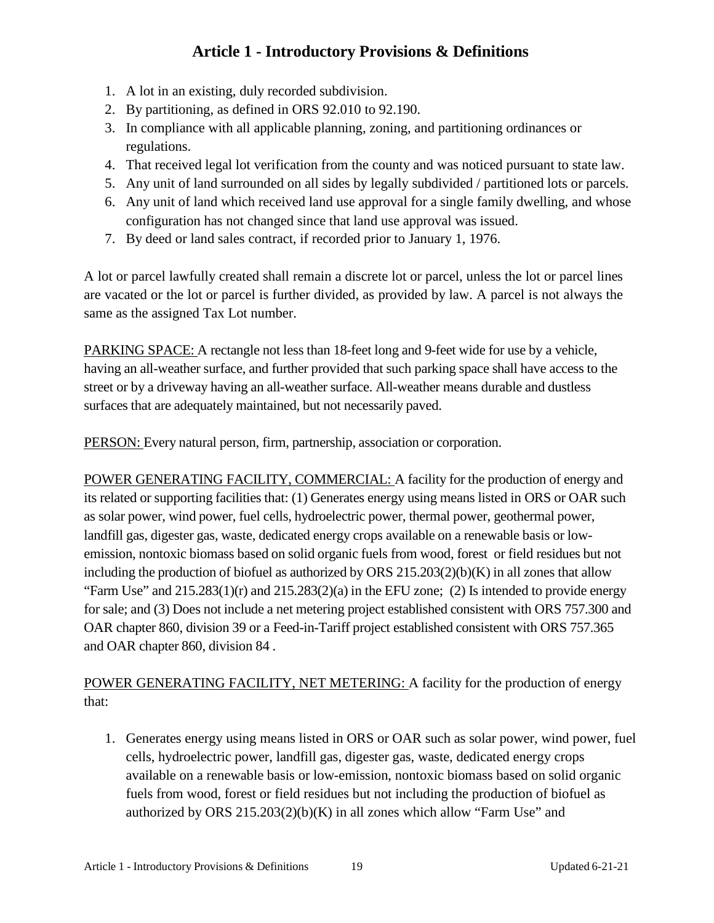- 1. A lot in an existing, duly recorded subdivision.
- 2. By partitioning, as defined in ORS 92.010 to 92.190.
- 3. In compliance with all applicable planning, zoning, and partitioning ordinances or regulations.
- 4. That received legal lot verification from the county and was noticed pursuant to state law.
- 5. Any unit of land surrounded on all sides by legally subdivided / partitioned lots or parcels.
- 6. Any unit of land which received land use approval for a single family dwelling, and whose configuration has not changed since that land use approval was issued.
- 7. By deed or land sales contract, if recorded prior to January 1, 1976.

A lot or parcel lawfully created shall remain a discrete lot or parcel, unless the lot or parcel lines are vacated or the lot or parcel is further divided, as provided by law. A parcel is not always the same as the assigned Tax Lot number.

PARKING SPACE: A rectangle not less than 18-feet long and 9-feet wide for use by a vehicle, having an all-weather surface, and further provided that such parking space shall have access to the street or by a driveway having an all-weather surface. All-weather means durable and dustless surfaces that are adequately maintained, but not necessarily paved.

PERSON: Every natural person, firm, partnership, association or corporation.

POWER GENERATING FACILITY, COMMERCIAL: A facility for the production of energy and its related or supporting facilities that: (1) Generates energy using means listed in ORS or OAR such as solar power, wind power, fuel cells, hydroelectric power, thermal power, geothermal power, landfill gas, digester gas, waste, dedicated energy crops available on a renewable basis or lowemission, nontoxic biomass based on solid organic fuels from wood, forest or field residues but not including the production of biofuel as authorized by ORS 215.203(2)(b)(K) in all zones that allow "Farm Use" and  $215.283(1)(r)$  and  $215.283(2)(a)$  in the EFU zone; (2) Is intended to provide energy for sale; and (3) Does not include a net metering project established consistent with ORS 757.300 and OAR chapter 860, division 39 or a Feed-in-Tariff project established consistent with ORS 757.365 and OAR chapter 860, division 84 .

POWER GENERATING FACILITY, NET METERING: A facility for the production of energy that:

1. Generates energy using means listed in ORS or OAR such as solar power, wind power, fuel cells, hydroelectric power, landfill gas, digester gas, waste, dedicated energy crops available on a renewable basis or low-emission, nontoxic biomass based on solid organic fuels from wood, forest or field residues but not including the production of biofuel as authorized by ORS  $215.203(2)(b)(K)$  in all zones which allow "Farm Use" and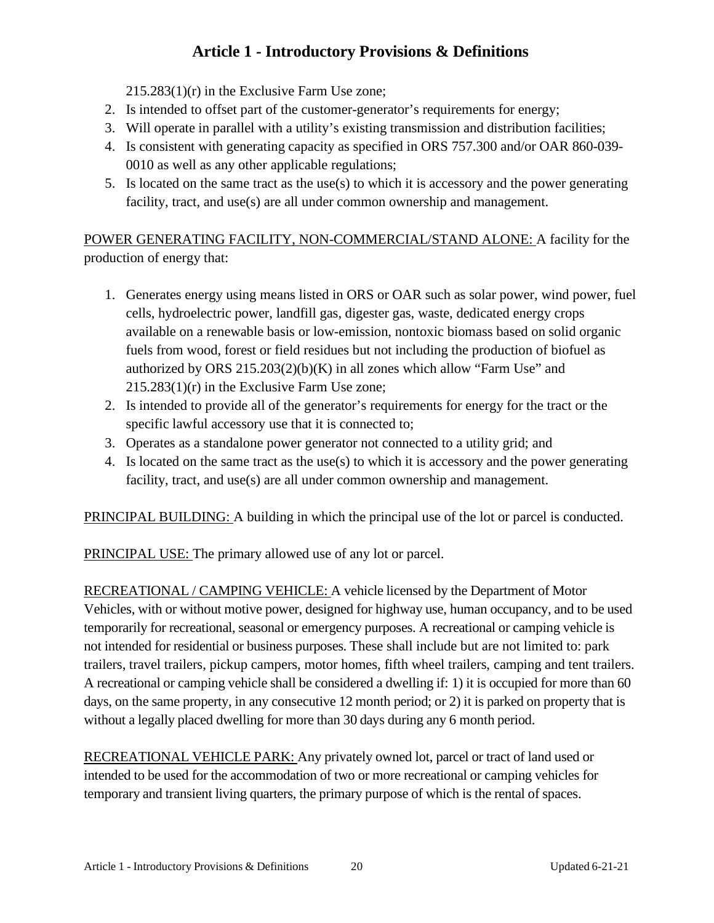215.283(1)(r) in the Exclusive Farm Use zone;

- 2. Is intended to offset part of the customer-generator's requirements for energy;
- 3. Will operate in parallel with a utility's existing transmission and distribution facilities;
- 4. Is consistent with generating capacity as specified in ORS 757.300 and/or OAR 860-039- 0010 as well as any other applicable regulations;
- 5. Is located on the same tract as the use(s) to which it is accessory and the power generating facility, tract, and use(s) are all under common ownership and management.

POWER GENERATING FACILITY, NON-COMMERCIAL/STAND ALONE: A facility for the production of energy that:

- 1. Generates energy using means listed in ORS or OAR such as solar power, wind power, fuel cells, hydroelectric power, landfill gas, digester gas, waste, dedicated energy crops available on a renewable basis or low-emission, nontoxic biomass based on solid organic fuels from wood, forest or field residues but not including the production of biofuel as authorized by ORS  $215.203(2)(b)(K)$  in all zones which allow "Farm Use" and 215.283(1)(r) in the Exclusive Farm Use zone;
- 2. Is intended to provide all of the generator's requirements for energy for the tract or the specific lawful accessory use that it is connected to;
- 3. Operates as a standalone power generator not connected to a utility grid; and
- 4. Is located on the same tract as the use(s) to which it is accessory and the power generating facility, tract, and use(s) are all under common ownership and management.

PRINCIPAL BUILDING: A building in which the principal use of the lot or parcel is conducted.

PRINCIPAL USE: The primary allowed use of any lot or parcel.

RECREATIONAL / CAMPING VEHICLE: A vehicle licensed by the Department of Motor Vehicles, with or without motive power, designed for highway use, human occupancy, and to be used temporarily for recreational, seasonal or emergency purposes. A recreational or camping vehicle is not intended for residential or business purposes. These shall include but are not limited to: park trailers, travel trailers, pickup campers, motor homes, fifth wheel trailers, camping and tent trailers. A recreational or camping vehicle shall be considered a dwelling if: 1) it is occupied for more than 60 days, on the same property, in any consecutive 12 month period; or 2) it is parked on property that is without a legally placed dwelling for more than 30 days during any 6 month period.

RECREATIONAL VEHICLE PARK: Any privately owned lot, parcel or tract of land used or intended to be used for the accommodation of two or more recreational or camping vehicles for temporary and transient living quarters, the primary purpose of which is the rental of spaces.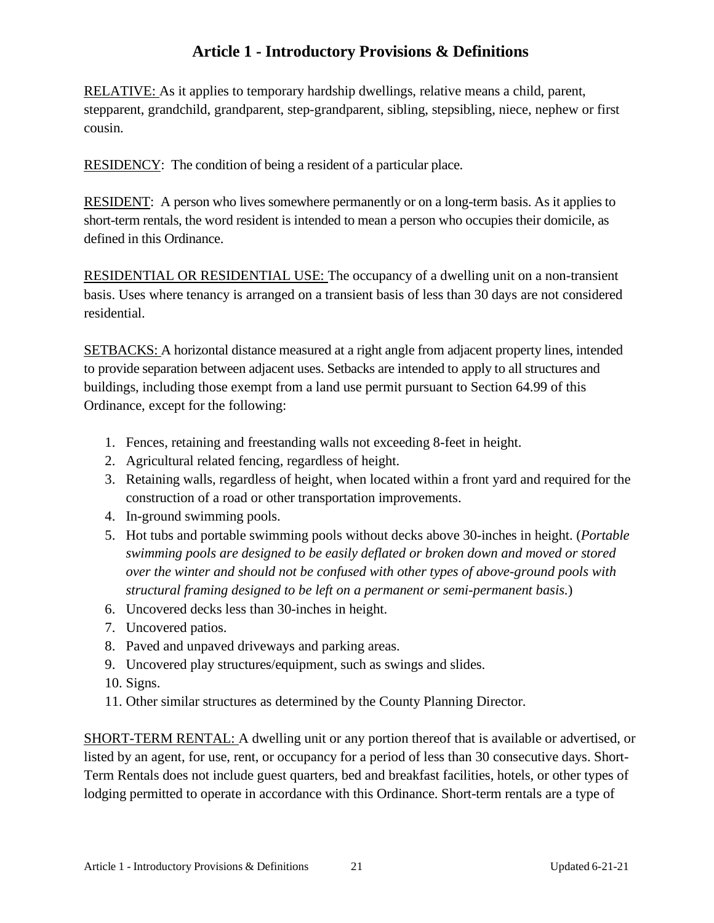RELATIVE: As it applies to temporary hardship dwellings, relative means a child, parent, stepparent, grandchild, grandparent, step-grandparent, sibling, stepsibling, niece, nephew or first cousin.

RESIDENCY: The condition of being a resident of a particular place.

RESIDENT: A person who lives somewhere permanently or on a long-term basis. As it applies to short-term rentals, the word resident is intended to mean a person who occupies their domicile, as defined in this Ordinance.

RESIDENTIAL OR RESIDENTIAL USE: The occupancy of a dwelling unit on a non-transient basis. Uses where tenancy is arranged on a transient basis of less than 30 days are not considered residential.

SETBACKS: A horizontal distance measured at a right angle from adjacent property lines, intended to provide separation between adjacent uses. Setbacks are intended to apply to all structures and buildings, including those exempt from a land use permit pursuant to Section 64.99 of this Ordinance, except for the following:

- 1. Fences, retaining and freestanding walls not exceeding 8-feet in height.
- 2. Agricultural related fencing, regardless of height.
- 3. Retaining walls, regardless of height, when located within a front yard and required for the construction of a road or other transportation improvements.
- 4. In-ground swimming pools.
- 5. Hot tubs and portable swimming pools without decks above 30-inches in height. (*Portable swimming pools are designed to be easily deflated or broken down and moved or stored over the winter and should not be confused with other types of above-ground pools with structural framing designed to be left on a permanent or semi-permanent basis.*)
- 6. Uncovered decks less than 30-inches in height.
- 7. Uncovered patios.
- 8. Paved and unpaved driveways and parking areas.
- 9. Uncovered play structures/equipment, such as swings and slides.
- 10. Signs.
- 11. Other similar structures as determined by the County Planning Director.

SHORT-TERM RENTAL: A dwelling unit or any portion thereof that is available or advertised, or listed by an agent, for use, rent, or occupancy for a period of less than 30 consecutive days. Short-Term Rentals does not include guest quarters, bed and breakfast facilities, hotels, or other types of lodging permitted to operate in accordance with this Ordinance. Short-term rentals are a type of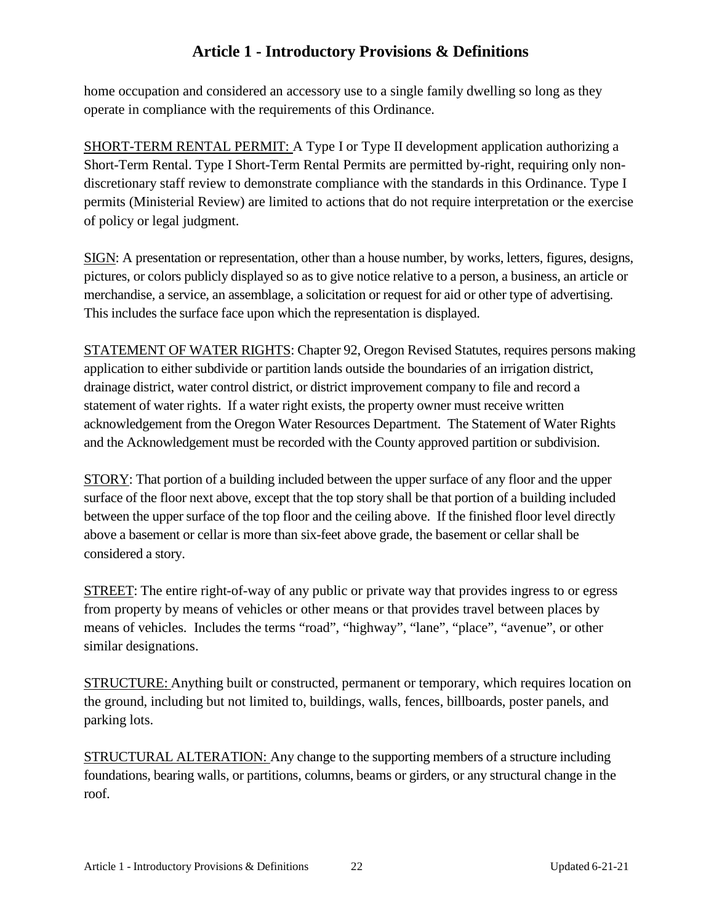home occupation and considered an accessory use to a single family dwelling so long as they operate in compliance with the requirements of this Ordinance.

SHORT-TERM RENTAL PERMIT: A Type I or Type II development application authorizing a Short-Term Rental. Type I Short-Term Rental Permits are permitted by-right, requiring only nondiscretionary staff review to demonstrate compliance with the standards in this Ordinance. Type I permits (Ministerial Review) are limited to actions that do not require interpretation or the exercise of policy or legal judgment.

SIGN: A presentation or representation, other than a house number, by works, letters, figures, designs, pictures, or colors publicly displayed so as to give notice relative to a person, a business, an article or merchandise, a service, an assemblage, a solicitation or request for aid or other type of advertising. This includes the surface face upon which the representation is displayed.

STATEMENT OF WATER RIGHTS: Chapter 92, Oregon Revised Statutes, requires persons making application to either subdivide or partition lands outside the boundaries of an irrigation district, drainage district, water control district, or district improvement company to file and record a statement of water rights. If a water right exists, the property owner must receive written acknowledgement from the Oregon Water Resources Department. The Statement of Water Rights and the Acknowledgement must be recorded with the County approved partition or subdivision.

STORY: That portion of a building included between the upper surface of any floor and the upper surface of the floor next above, except that the top story shall be that portion of a building included between the upper surface of the top floor and the ceiling above. If the finished floor level directly above a basement or cellar is more than six-feet above grade, the basement or cellar shall be considered a story.

STREET: The entire right-of-way of any public or private way that provides ingress to or egress from property by means of vehicles or other means or that provides travel between places by means of vehicles. Includes the terms "road", "highway", "lane", "place", "avenue", or other similar designations.

STRUCTURE: Anything built or constructed, permanent or temporary, which requires location on the ground, including but not limited to, buildings, walls, fences, billboards, poster panels, and parking lots.

STRUCTURAL ALTERATION: Any change to the supporting members of a structure including foundations, bearing walls, or partitions, columns, beams or girders, or any structural change in the roof.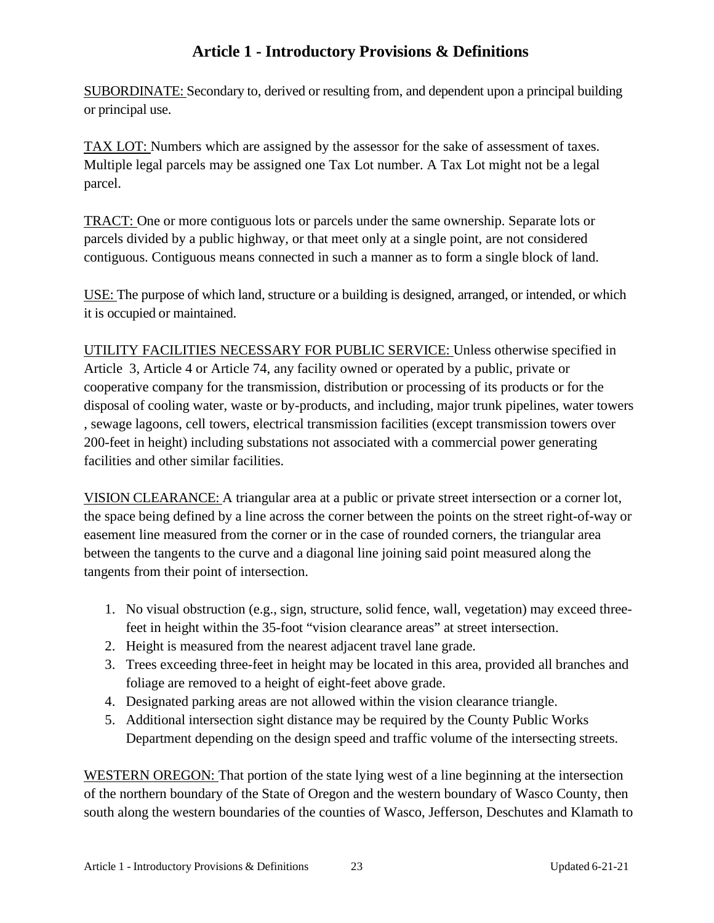SUBORDINATE: Secondary to, derived or resulting from, and dependent upon a principal building or principal use.

TAX LOT: Numbers which are assigned by the assessor for the sake of assessment of taxes. Multiple legal parcels may be assigned one Tax Lot number. A Tax Lot might not be a legal parcel.

TRACT: One or more contiguous lots or parcels under the same ownership. Separate lots or parcels divided by a public highway, or that meet only at a single point, are not considered contiguous. Contiguous means connected in such a manner as to form a single block of land.

USE: The purpose of which land, structure or a building is designed, arranged, or intended, or which it is occupied or maintained.

UTILITY FACILITIES NECESSARY FOR PUBLIC SERVICE: Unless otherwise specified in Article 3, Article 4 or Article 74, any facility owned or operated by a public, private or cooperative company for the transmission, distribution or processing of its products or for the disposal of cooling water, waste or by-products, and including, major trunk pipelines, water towers , sewage lagoons, cell towers, electrical transmission facilities (except transmission towers over 200-feet in height) including substations not associated with a commercial power generating facilities and other similar facilities.

VISION CLEARANCE: A triangular area at a public or private street intersection or a corner lot, the space being defined by a line across the corner between the points on the street right-of-way or easement line measured from the corner or in the case of rounded corners, the triangular area between the tangents to the curve and a diagonal line joining said point measured along the tangents from their point of intersection.

- 1. No visual obstruction (e.g., sign, structure, solid fence, wall, vegetation) may exceed threefeet in height within the 35-foot "vision clearance areas" at street intersection.
- 2. Height is measured from the nearest adjacent travel lane grade.
- 3. Trees exceeding three-feet in height may be located in this area, provided all branches and foliage are removed to a height of eight-feet above grade.
- 4. Designated parking areas are not allowed within the vision clearance triangle.
- 5. Additional intersection sight distance may be required by the County Public Works Department depending on the design speed and traffic volume of the intersecting streets.

WESTERN OREGON: That portion of the state lying west of a line beginning at the intersection of the northern boundary of the State of Oregon and the western boundary of Wasco County, then south along the western boundaries of the counties of Wasco, Jefferson, Deschutes and Klamath to